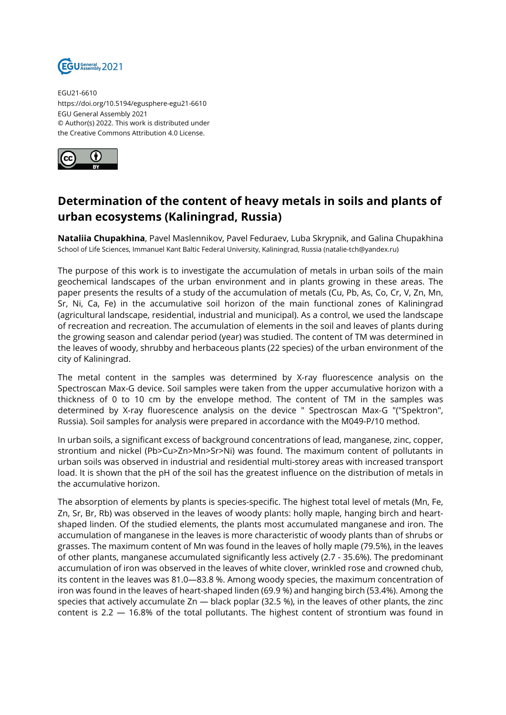

EGU21-6610 https://doi.org/10.5194/egusphere-egu21-6610 EGU General Assembly 2021 © Author(s) 2022. This work is distributed under the Creative Commons Attribution 4.0 License.



## **Determination of the content of heavy metals in soils and plants of urban ecosystems (Kaliningrad, Russia)**

**Nataliia Chupakhina**, Pavel Maslennikov, Pavel Feduraev, Luba Skrypnik, and Galina Chupakhina School of Life Sciences, Immanuel Kant Baltic Federal University, Kaliningrad, Russia (natalie-tch@yandex.ru)

The purpose of this work is to investigate the accumulation of metals in urban soils of the main geochemical landscapes of the urban environment and in plants growing in these areas. The paper presents the results of a study of the accumulation of metals (Cu, Pb, As, Co, Cr, V, Zn, Mn, Sr, Ni, Ca, Fe) in the accumulative soil horizon of the main functional zones of Kaliningrad (agricultural landscape, residential, industrial and municipal). As a control, we used the landscape of recreation and recreation. The accumulation of elements in the soil and leaves of plants during the growing season and calendar period (year) was studied. The content of TM was determined in the leaves of woody, shrubby and herbaceous plants (22 species) of the urban environment of the city of Kaliningrad.

The metal content in the samples was determined by X-ray fluorescence analysis on the Spectroscan Max-G device. Soil samples were taken from the upper accumulative horizon with a thickness of 0 to 10 cm by the envelope method. The content of TM in the samples was determined by X-ray fluorescence analysis on the device " Spectroscan Max-G "("Spektron", Russia). Soil samples for analysis were prepared in accordance with the M049-P/10 method.

In urban soils, a significant excess of background concentrations of lead, manganese, zinc, copper, strontium and nickel (Pb>Cu>Zn>Mn>Sr>Ni) was found. The maximum content of pollutants in urban soils was observed in industrial and residential multi-storey areas with increased transport load. It is shown that the pH of the soil has the greatest influence on the distribution of metals in the accumulative horizon.

The absorption of elements by plants is species-specific. The highest total level of metals (Mn, Fe, Zn, Sr, Br, Rb) was observed in the leaves of woody plants: holly maple, hanging birch and heartshaped linden. Of the studied elements, the plants most accumulated manganese and iron. The accumulation of manganese in the leaves is more characteristic of woody plants than of shrubs or grasses. The maximum content of Mn was found in the leaves of holly maple (79.5%), in the leaves of other plants, manganese accumulated significantly less actively (2.7 - 35.6%). The predominant accumulation of iron was observed in the leaves of white clover, wrinkled rose and crowned chub, its content in the leaves was 81.0—83.8 %. Among woody species, the maximum concentration of iron was found in the leaves of heart-shaped linden (69.9 %) and hanging birch (53.4%). Among the species that actively accumulate Zn — black poplar (32.5 %), in the leaves of other plants, the zinc content is 2.2 — 16.8% of the total pollutants. The highest content of strontium was found in